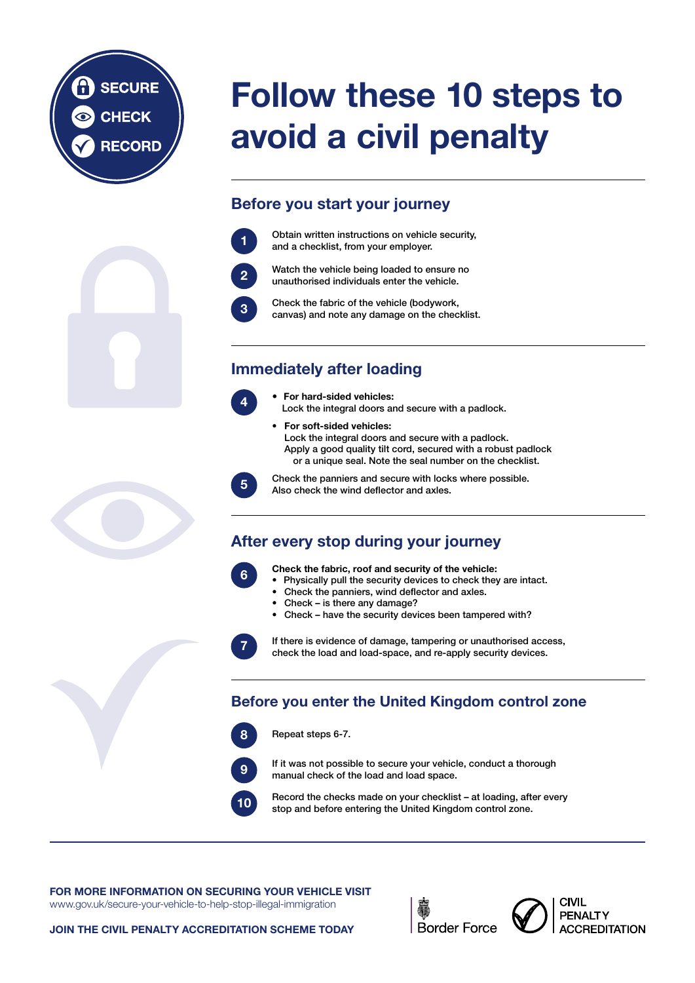#### FOR MORE INFORMATION ON SECURING YOUR VEHICLE VISIT

<www.gov.uk/secure>-your-vehicle-to-help-stop-illegal-immigration

#### JOIN THE CIVIL PENALTY ACCREDITATION SCHEME TODAY





# Follow these 10 steps to avoid a civil penalty

## Before you start your journey

### Immediately after loading

#### After every stop during your journey

#### Before you enter the United Kingdom control zone













- For hard-sided vehicles: Lock the integral doors and secure with a padlock.
- For soft-sided vehicles: Lock the integral doors and secure with a padlock. Apply a good quality tilt cord, secured with a robust padlock or a unique seal. Note the seal number on the checklist.









Obtain written instructions on vehicle security, and a checklist, from your employer.

Check the fabric, roof and security of the vehicle:

- Physically pull the security devices to check they are intact.
- Check the panniers, wind deflector and axles.
- Check is there any damage?
- Check have the security devices been tampered with?

Repeat steps 6-7.

Watch the vehicle being loaded to ensure no unauthorised individuals enter the vehicle.

Check the panniers and secure with locks where possible. Also check the wind deflector and axles.

If there is evidence of damage, tampering or unauthorised access, check the load and load-space, and re-apply security devices.

If it was not possible to secure your vehicle, conduct a thorough manual check of the load and load space.

Check the fabric of the vehicle (bodywork, canvas) and note any damage on the checklist.

Record the checks made on your checklist – at loading, after every stop and before entering the United Kingdom control zone.